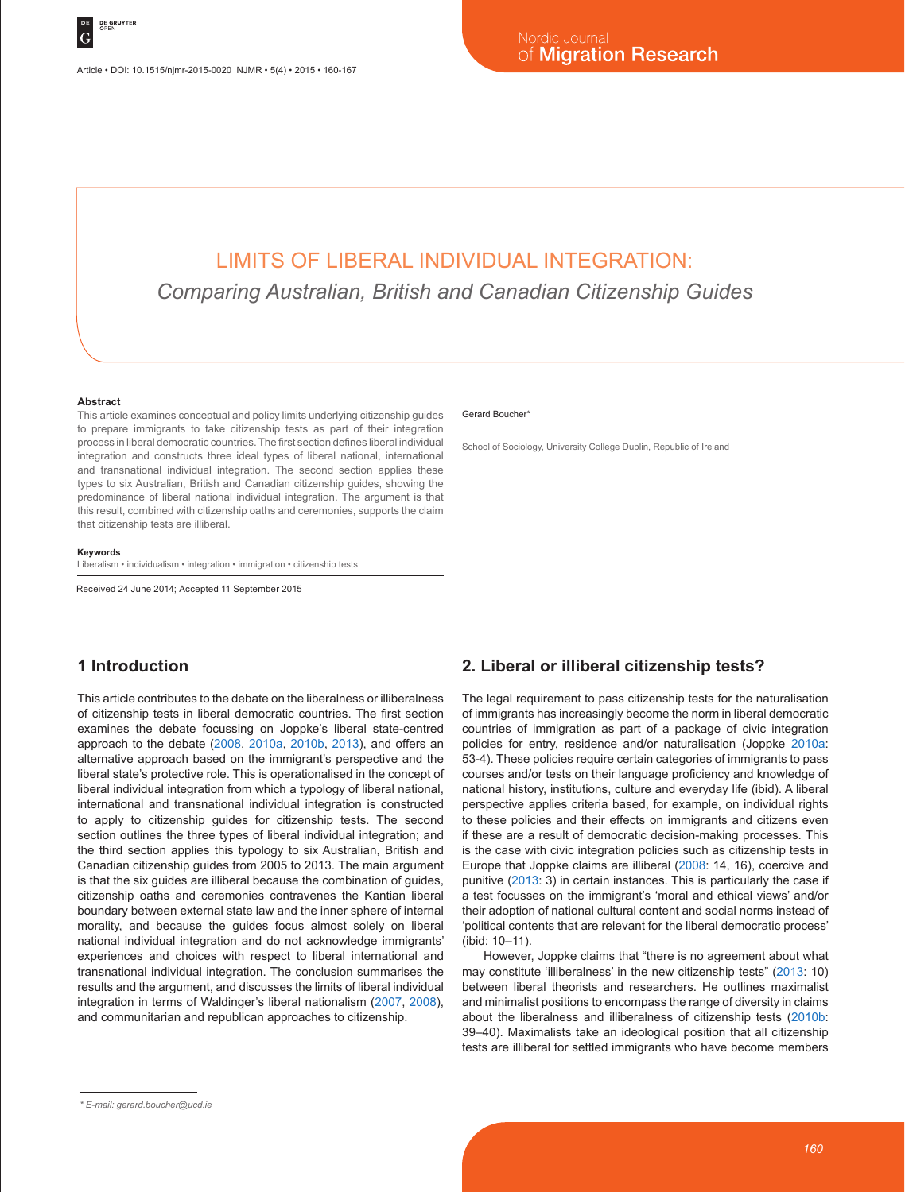# LIMITS OF LIBERAL INDIVIDUAL INTEGRATION: *Comparing Australian, British and Canadian Citizenship Guides*

#### **Abstract**

This article examines conceptual and policy limits underlying citizenship guides to prepare immigrants to take citizenship tests as part of their integration process in liberal democratic countries. The first section defines liberal individual integration and constructs three ideal types of liberal national, international and transnational individual integration. The second section applies these types to six Australian, British and Canadian citizenship guides, showing the predominance of liberal national individual integration. The argument is that this result, combined with citizenship oaths and ceremonies, supports the claim that citizenship tests are illiberal.

#### **Keywords**

Liberalism • individualism • integration • immigration • citizenship tests

Received 24 June 2014; Accepted 11 September 2015

## **1 Introduction**

This article contributes to the debate on the liberalness or illiberalness of citizenship tests in liberal democratic countries. The first section examines the debate focussing on Joppke's liberal state-centred approach to the debate (2008, 2010a, 2010b, 2013), and offers an alternative approach based on the immigrant's perspective and the liberal state's protective role. This is operationalised in the concept of liberal individual integration from which a typology of liberal national, international and transnational individual integration is constructed to apply to citizenship guides for citizenship tests. The second section outlines the three types of liberal individual integration; and the third section applies this typology to six Australian, British and Canadian citizenship guides from 2005 to 2013. The main argument is that the six guides are illiberal because the combination of guides, citizenship oaths and ceremonies contravenes the Kantian liberal boundary between external state law and the inner sphere of internal morality, and because the guides focus almost solely on liberal national individual integration and do not acknowledge immigrants' experiences and choices with respect to liberal international and transnational individual integration. The conclusion summarises the results and the argument, and discusses the limits of liberal individual integration in terms of Waldinger's liberal nationalism (2007, 2008), and communitarian and republican approaches to citizenship.

#### Gerard Boucher\*

School of Sociology, University College Dublin, Republic of Ireland

### **2. Liberal or illiberal citizenship tests?**

The legal requirement to pass citizenship tests for the naturalisation of immigrants has increasingly become the norm in liberal democratic countries of immigration as part of a package of civic integration policies for entry, residence and/or naturalisation (Joppke 2010a: 53-4). These policies require certain categories of immigrants to pass courses and/or tests on their language proficiency and knowledge of national history, institutions, culture and everyday life (ibid). A liberal perspective applies criteria based, for example, on individual rights to these policies and their effects on immigrants and citizens even if these are a result of democratic decision-making processes. This is the case with civic integration policies such as citizenship tests in Europe that Joppke claims are illiberal (2008: 14, 16), coercive and punitive (2013: 3) in certain instances. This is particularly the case if a test focusses on the immigrant's 'moral and ethical views' and/or their adoption of national cultural content and social norms instead of 'political contents that are relevant for the liberal democratic process' (ibid: 10–11).

However, Joppke claims that "there is no agreement about what may constitute 'illiberalness' in the new citizenship tests" (2013: 10) between liberal theorists and researchers. He outlines maximalist and minimalist positions to encompass the range of diversity in claims about the liberalness and illiberalness of citizenship tests (2010b: 39–40). Maximalists take an ideological position that all citizenship tests are illiberal for settled immigrants who have become members

*<sup>\*</sup> E-mail: gerard.boucher@ucd.ie*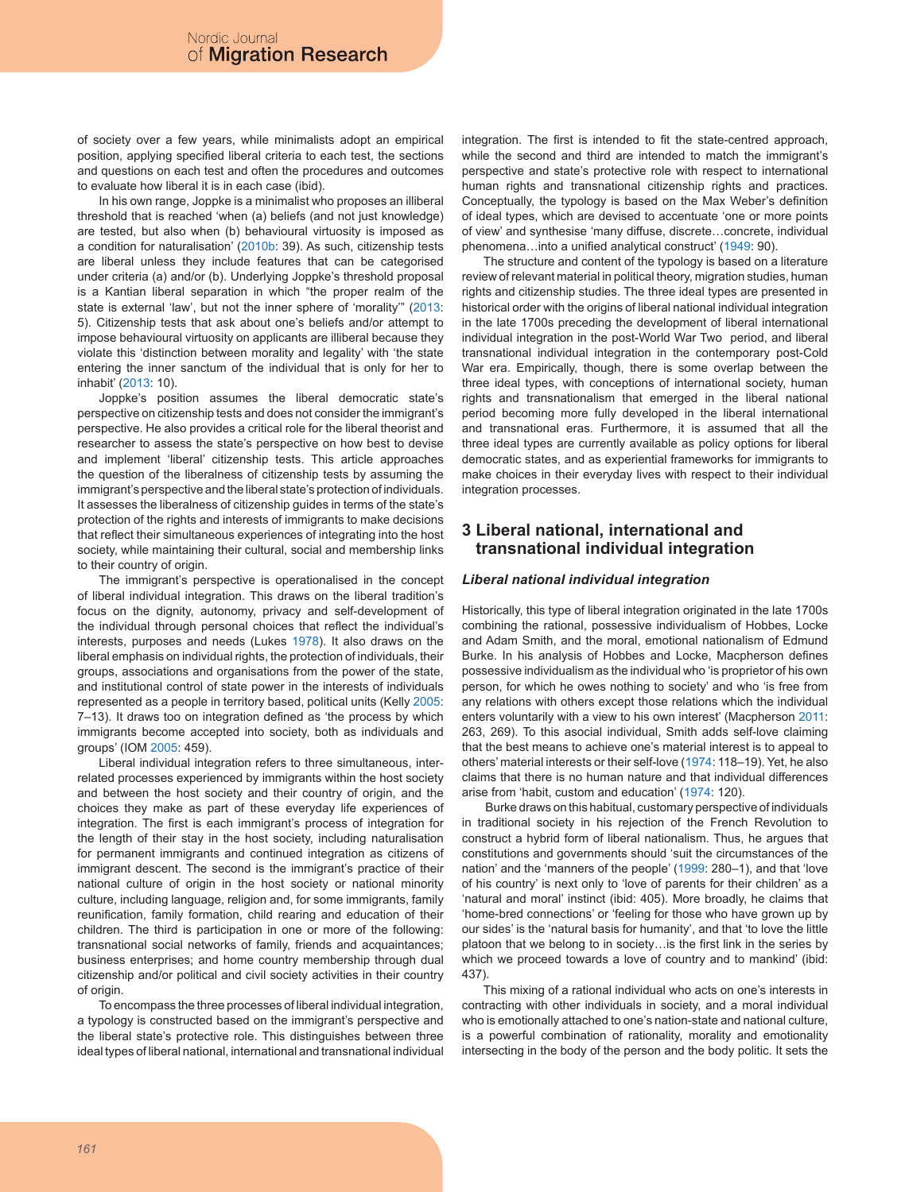of society over a few years, while minimalists adopt an empirical position, applying specified liberal criteria to each test, the sections and questions on each test and often the procedures and outcomes to evaluate how liberal it is in each case (ibid).

In his own range, Joppke is a minimalist who proposes an illiberal threshold that is reached 'when (a) beliefs (and not just knowledge) are tested, but also when (b) behavioural virtuosity is imposed as a condition for naturalisation' (2010b: 39). As such, citizenship tests are liberal unless they include features that can be categorised under criteria (a) and/or (b). Underlying Joppke's threshold proposal is a Kantian liberal separation in which "the proper realm of the state is external 'law', but not the inner sphere of 'morality'" (2013: 5). Citizenship tests that ask about one's beliefs and/or attempt to impose behavioural virtuosity on applicants are illiberal because they violate this 'distinction between morality and legality' with 'the state entering the inner sanctum of the individual that is only for her to inhabit' (2013: 10).

Joppke's position assumes the liberal democratic state's perspective on citizenship tests and does not consider the immigrant's perspective. He also provides a critical role for the liberal theorist and researcher to assess the state's perspective on how best to devise and implement 'liberal' citizenship tests. This article approaches the question of the liberalness of citizenship tests by assuming the immigrant's perspective and the liberal state's protection of individuals. It assesses the liberalness of citizenship guides in terms of the state's protection of the rights and interests of immigrants to make decisions that reflect their simultaneous experiences of integrating into the host society, while maintaining their cultural, social and membership links to their country of origin.

The immigrant's perspective is operationalised in the concept of liberal individual integration. This draws on the liberal tradition's focus on the dignity, autonomy, privacy and self-development of the individual through personal choices that reflect the individual's interests, purposes and needs (Lukes 1978). It also draws on the liberal emphasis on individual rights, the protection of individuals, their groups, associations and organisations from the power of the state, and institutional control of state power in the interests of individuals represented as a people in territory based, political units (Kelly 2005: 7–13). It draws too on integration defined as 'the process by which immigrants become accepted into society, both as individuals and groups' (IOM 2005: 459).

Liberal individual integration refers to three simultaneous, interrelated processes experienced by immigrants within the host society and between the host society and their country of origin, and the choices they make as part of these everyday life experiences of integration. The first is each immigrant's process of integration for the length of their stay in the host society, including naturalisation for permanent immigrants and continued integration as citizens of immigrant descent. The second is the immigrant's practice of their national culture of origin in the host society or national minority culture, including language, religion and, for some immigrants, family reunification, family formation, child rearing and education of their children. The third is participation in one or more of the following: transnational social networks of family, friends and acquaintances; business enterprises; and home country membership through dual citizenship and/or political and civil society activities in their country of origin.

To encompass the three processes of liberal individual integration, a typology is constructed based on the immigrant's perspective and the liberal state's protective role. This distinguishes between three ideal types of liberal national, international and transnational individual integration. The first is intended to fit the state-centred approach, while the second and third are intended to match the immigrant's perspective and state's protective role with respect to international human rights and transnational citizenship rights and practices. Conceptually, the typology is based on the Max Weber's definition of ideal types, which are devised to accentuate 'one or more points of view' and synthesise 'many diffuse, discrete…concrete, individual phenomena…into a unified analytical construct' (1949: 90).

The structure and content of the typology is based on a literature review of relevant material in political theory, migration studies, human rights and citizenship studies. The three ideal types are presented in historical order with the origins of liberal national individual integration in the late 1700s preceding the development of liberal international individual integration in the post-World War Two period, and liberal transnational individual integration in the contemporary post-Cold War era. Empirically, though, there is some overlap between the three ideal types, with conceptions of international society, human rights and transnationalism that emerged in the liberal national period becoming more fully developed in the liberal international and transnational eras. Furthermore, it is assumed that all the three ideal types are currently available as policy options for liberal democratic states, and as experiential frameworks for immigrants to make choices in their everyday lives with respect to their individual integration processes.

### **3 Liberal national, international and transnational individual integration**

#### *Liberal national individual integration*

Historically, this type of liberal integration originated in the late 1700s combining the rational, possessive individualism of Hobbes, Locke and Adam Smith, and the moral, emotional nationalism of Edmund Burke. In his analysis of Hobbes and Locke, Macpherson defines possessive individualism as the individual who 'is proprietor of his own person, for which he owes nothing to society' and who 'is free from any relations with others except those relations which the individual enters voluntarily with a view to his own interest' (Macpherson 2011: 263, 269). To this asocial individual, Smith adds self-love claiming that the best means to achieve one's material interest is to appeal to others' material interests or their self-love (1974: 118–19). Yet, he also claims that there is no human nature and that individual differences arise from 'habit, custom and education' (1974: 120).

 Burke draws on this habitual, customary perspective of individuals in traditional society in his rejection of the French Revolution to construct a hybrid form of liberal nationalism. Thus, he argues that constitutions and governments should 'suit the circumstances of the nation' and the 'manners of the people' (1999: 280–1), and that 'love of his country' is next only to 'love of parents for their children' as a 'natural and moral' instinct (ibid: 405). More broadly, he claims that 'home-bred connections' or 'feeling for those who have grown up by our sides' is the 'natural basis for humanity', and that 'to love the little platoon that we belong to in society…is the first link in the series by which we proceed towards a love of country and to mankind' (ibid: 437).

This mixing of a rational individual who acts on one's interests in contracting with other individuals in society, and a moral individual who is emotionally attached to one's nation-state and national culture, is a powerful combination of rationality, morality and emotionality intersecting in the body of the person and the body politic. It sets the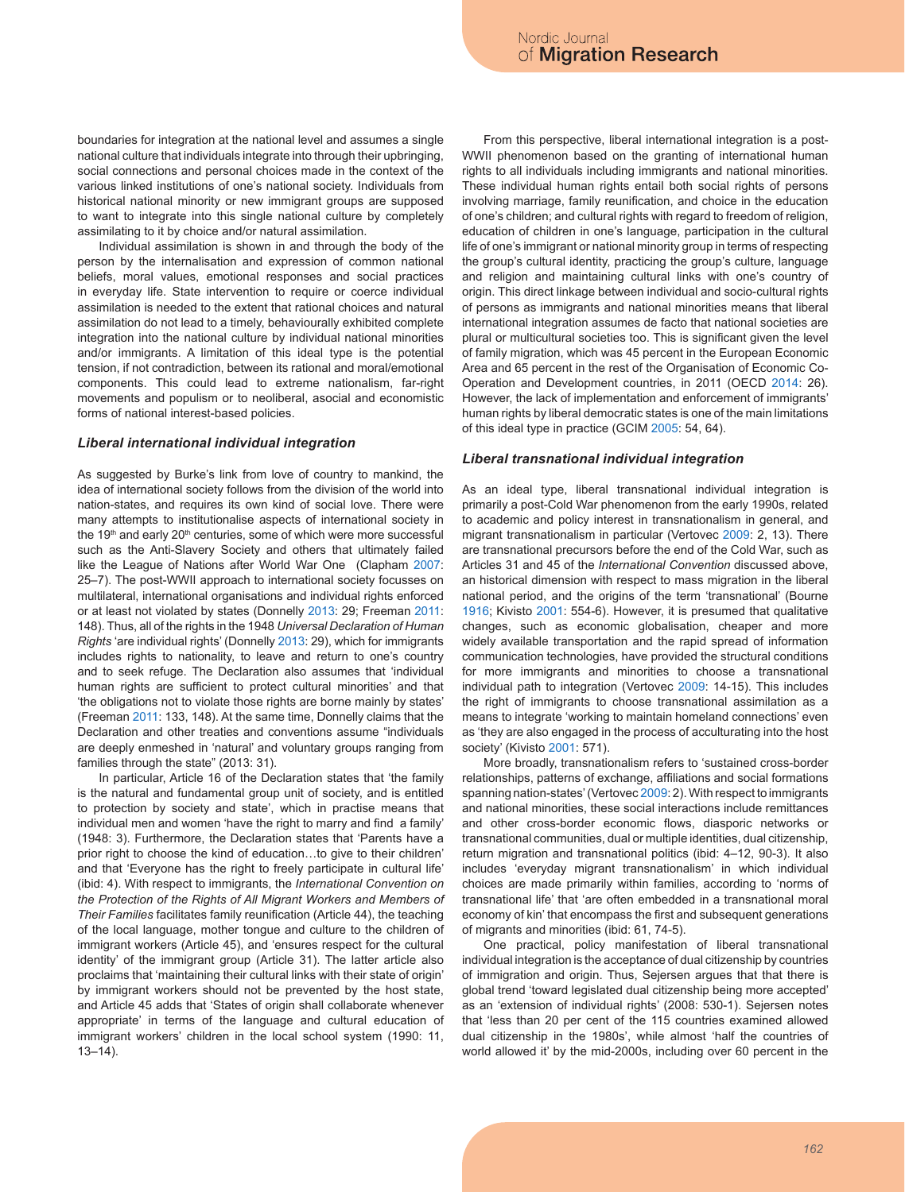boundaries for integration at the national level and assumes a single national culture that individuals integrate into through their upbringing, social connections and personal choices made in the context of the various linked institutions of one's national society. Individuals from historical national minority or new immigrant groups are supposed to want to integrate into this single national culture by completely assimilating to it by choice and/or natural assimilation.

Individual assimilation is shown in and through the body of the person by the internalisation and expression of common national beliefs, moral values, emotional responses and social practices in everyday life. State intervention to require or coerce individual assimilation is needed to the extent that rational choices and natural assimilation do not lead to a timely, behaviourally exhibited complete integration into the national culture by individual national minorities and/or immigrants. A limitation of this ideal type is the potential tension, if not contradiction, between its rational and moral/emotional components. This could lead to extreme nationalism, far-right movements and populism or to neoliberal, asocial and economistic forms of national interest-based policies.

#### *Liberal international individual integration*

As suggested by Burke's link from love of country to mankind, the idea of international society follows from the division of the world into nation-states, and requires its own kind of social love. There were many attempts to institutionalise aspects of international society in the 19<sup>th</sup> and early 20<sup>th</sup> centuries, some of which were more successful such as the Anti-Slavery Society and others that ultimately failed like the League of Nations after World War One (Clapham 2007: 25–7). The post-WWII approach to international society focusses on multilateral, international organisations and individual rights enforced or at least not violated by states (Donnelly 2013: 29; Freeman 2011: 148). Thus, all of the rights in the 1948 *Universal Declaration of Human Rights* 'are individual rights' (Donnelly 2013: 29), which for immigrants includes rights to nationality, to leave and return to one's country and to seek refuge. The Declaration also assumes that 'individual human rights are sufficient to protect cultural minorities' and that 'the obligations not to violate those rights are borne mainly by states' (Freeman 2011: 133, 148). At the same time, Donnelly claims that the Declaration and other treaties and conventions assume "individuals are deeply enmeshed in 'natural' and voluntary groups ranging from families through the state" (2013: 31).

In particular, Article 16 of the Declaration states that 'the family is the natural and fundamental group unit of society, and is entitled to protection by society and state', which in practise means that individual men and women 'have the right to marry and find a family' (1948: 3). Furthermore, the Declaration states that 'Parents have a prior right to choose the kind of education…to give to their children' and that 'Everyone has the right to freely participate in cultural life' (ibid: 4). With respect to immigrants, the *International Convention on the Protection of the Rights of All Migrant Workers and Members of Their Families* facilitates family reunification (Article 44), the teaching of the local language, mother tongue and culture to the children of immigrant workers (Article 45), and 'ensures respect for the cultural identity' of the immigrant group (Article 31). The latter article also proclaims that 'maintaining their cultural links with their state of origin' by immigrant workers should not be prevented by the host state, and Article 45 adds that 'States of origin shall collaborate whenever appropriate' in terms of the language and cultural education of immigrant workers' children in the local school system (1990: 11,  $13 - 14$ ).

From this perspective, liberal international integration is a post-WWII phenomenon based on the granting of international human rights to all individuals including immigrants and national minorities. These individual human rights entail both social rights of persons involving marriage, family reunification, and choice in the education of one's children; and cultural rights with regard to freedom of religion, education of children in one's language, participation in the cultural life of one's immigrant or national minority group in terms of respecting the group's cultural identity, practicing the group's culture, language and religion and maintaining cultural links with one's country of origin. This direct linkage between individual and socio-cultural rights of persons as immigrants and national minorities means that liberal international integration assumes de facto that national societies are plural or multicultural societies too. This is significant given the level of family migration, which was 45 percent in the European Economic Area and 65 percent in the rest of the Organisation of Economic Co-Operation and Development countries, in 2011 (OECD 2014: 26). However, the lack of implementation and enforcement of immigrants' human rights by liberal democratic states is one of the main limitations of this ideal type in practice (GCIM 2005: 54, 64).

#### *Liberal transnational individual integration*

As an ideal type, liberal transnational individual integration is primarily a post-Cold War phenomenon from the early 1990s, related to academic and policy interest in transnationalism in general, and migrant transnationalism in particular (Vertovec 2009: 2, 13). There are transnational precursors before the end of the Cold War, such as Articles 31 and 45 of the *International Convention* discussed above, an historical dimension with respect to mass migration in the liberal national period, and the origins of the term 'transnational' (Bourne 1916; Kivisto 2001: 554-6). However, it is presumed that qualitative changes, such as economic globalisation, cheaper and more widely available transportation and the rapid spread of information communication technologies, have provided the structural conditions for more immigrants and minorities to choose a transnational individual path to integration (Vertovec 2009: 14-15). This includes the right of immigrants to choose transnational assimilation as a means to integrate 'working to maintain homeland connections' even as 'they are also engaged in the process of acculturating into the host society' (Kivisto 2001: 571).

More broadly, transnationalism refers to 'sustained cross-border relationships, patterns of exchange, affiliations and social formations spanning nation-states' (Vertovec 2009: 2). With respect to immigrants and national minorities, these social interactions include remittances and other cross-border economic flows, diasporic networks or transnational communities, dual or multiple identities, dual citizenship, return migration and transnational politics (ibid: 4–12, 90-3). It also includes 'everyday migrant transnationalism' in which individual choices are made primarily within families, according to 'norms of transnational life' that 'are often embedded in a transnational moral economy of kin' that encompass the first and subsequent generations of migrants and minorities (ibid: 61, 74-5).

One practical, policy manifestation of liberal transnational individual integration is the acceptance of dual citizenship by countries of immigration and origin. Thus, Sejersen argues that that there is global trend 'toward legislated dual citizenship being more accepted' as an 'extension of individual rights' (2008: 530-1). Sejersen notes that 'less than 20 per cent of the 115 countries examined allowed dual citizenship in the 1980s', while almost 'half the countries of world allowed it' by the mid-2000s, including over 60 percent in the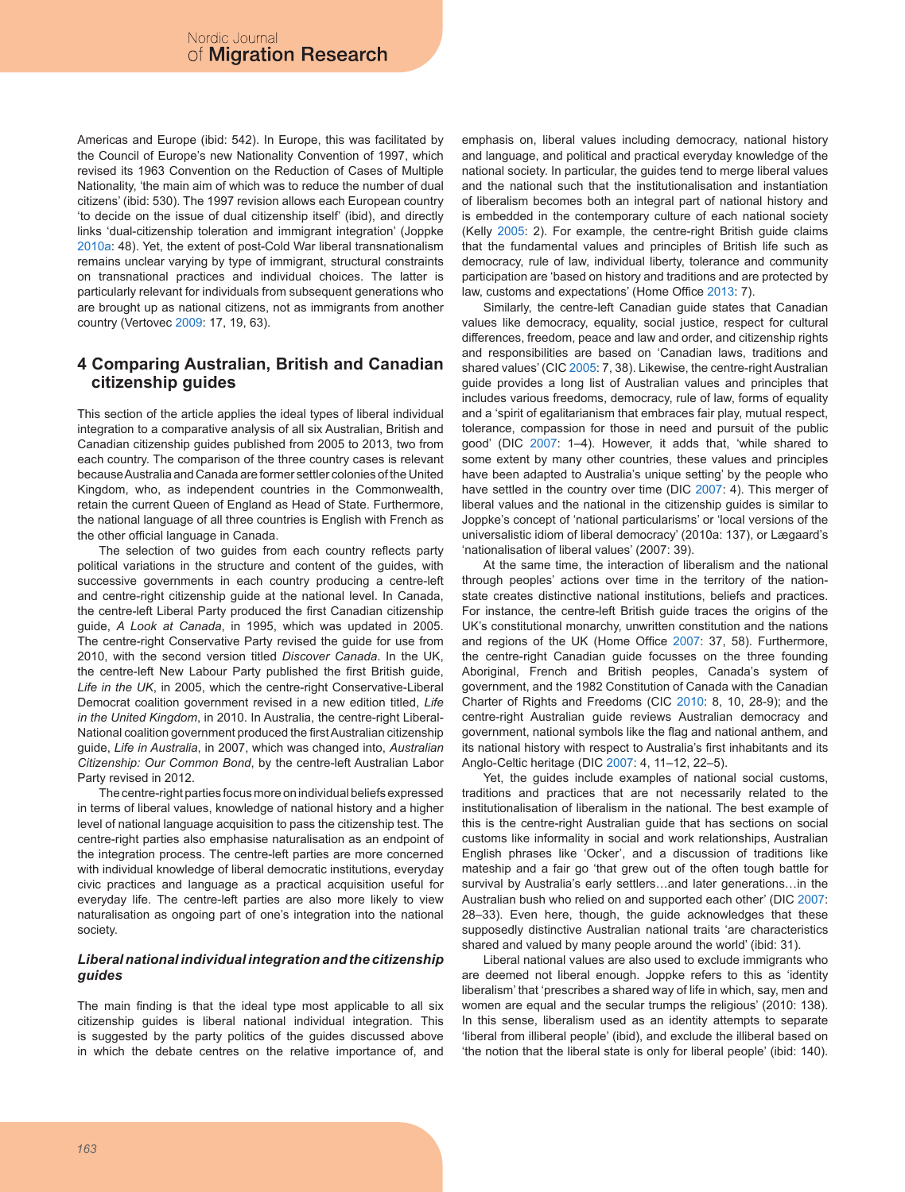Americas and Europe (ibid: 542). In Europe, this was facilitated by the Council of Europe's new Nationality Convention of 1997, which revised its 1963 Convention on the Reduction of Cases of Multiple Nationality, 'the main aim of which was to reduce the number of dual citizens' (ibid: 530). The 1997 revision allows each European country 'to decide on the issue of dual citizenship itself' (ibid), and directly links 'dual-citizenship toleration and immigrant integration' (Joppke 2010a: 48). Yet, the extent of post-Cold War liberal transnationalism remains unclear varying by type of immigrant, structural constraints on transnational practices and individual choices. The latter is particularly relevant for individuals from subsequent generations who are brought up as national citizens, not as immigrants from another country (Vertovec 2009: 17, 19, 63).

### **4 Comparing Australian, British and Canadian citizenship guides**

This section of the article applies the ideal types of liberal individual integration to a comparative analysis of all six Australian, British and Canadian citizenship guides published from 2005 to 2013, two from each country. The comparison of the three country cases is relevant because Australia and Canada are former settler colonies of the United Kingdom, who, as independent countries in the Commonwealth, retain the current Queen of England as Head of State. Furthermore, the national language of all three countries is English with French as the other official language in Canada.

The selection of two guides from each country reflects party political variations in the structure and content of the guides, with successive governments in each country producing a centre-left and centre-right citizenship guide at the national level. In Canada, the centre-left Liberal Party produced the first Canadian citizenship guide, *A Look at Canada*, in 1995, which was updated in 2005. The centre-right Conservative Party revised the guide for use from 2010, with the second version titled *Discover Canada*. In the UK, the centre-left New Labour Party published the first British guide, *Life in the UK*, in 2005, which the centre-right Conservative-Liberal Democrat coalition government revised in a new edition titled, *Life in the United Kingdom*, in 2010. In Australia, the centre-right Liberal-National coalition government produced the first Australian citizenship guide, *Life in Australia*, in 2007, which was changed into, *Australian Citizenship: Our Common Bond*, by the centre-left Australian Labor Party revised in 2012.

The centre-right parties focus more on individual beliefs expressed in terms of liberal values, knowledge of national history and a higher level of national language acquisition to pass the citizenship test. The centre-right parties also emphasise naturalisation as an endpoint of the integration process. The centre-left parties are more concerned with individual knowledge of liberal democratic institutions, everyday civic practices and language as a practical acquisition useful for everyday life. The centre-left parties are also more likely to view naturalisation as ongoing part of one's integration into the national society.

### *Liberal national individual integration and the citizenship guides*

The main finding is that the ideal type most applicable to all six citizenship guides is liberal national individual integration. This is suggested by the party politics of the guides discussed above in which the debate centres on the relative importance of, and emphasis on, liberal values including democracy, national history and language, and political and practical everyday knowledge of the national society. In particular, the guides tend to merge liberal values and the national such that the institutionalisation and instantiation of liberalism becomes both an integral part of national history and is embedded in the contemporary culture of each national society (Kelly 2005: 2). For example, the centre-right British guide claims that the fundamental values and principles of British life such as democracy, rule of law, individual liberty, tolerance and community participation are 'based on history and traditions and are protected by law, customs and expectations' (Home Office 2013: 7).

Similarly, the centre-left Canadian guide states that Canadian values like democracy, equality, social justice, respect for cultural differences, freedom, peace and law and order, and citizenship rights and responsibilities are based on 'Canadian laws, traditions and shared values' (CIC 2005: 7, 38). Likewise, the centre-right Australian guide provides a long list of Australian values and principles that includes various freedoms, democracy, rule of law, forms of equality and a 'spirit of egalitarianism that embraces fair play, mutual respect, tolerance, compassion for those in need and pursuit of the public good' (DIC 2007: 1–4). However, it adds that, 'while shared to some extent by many other countries, these values and principles have been adapted to Australia's unique setting' by the people who have settled in the country over time (DIC 2007: 4). This merger of liberal values and the national in the citizenship guides is similar to Joppke's concept of 'national particularisms' or 'local versions of the universalistic idiom of liberal democracy' (2010a: 137), or Lægaard's 'nationalisation of liberal values' (2007: 39).

At the same time, the interaction of liberalism and the national through peoples' actions over time in the territory of the nationstate creates distinctive national institutions, beliefs and practices. For instance, the centre-left British guide traces the origins of the UK's constitutional monarchy, unwritten constitution and the nations and regions of the UK (Home Office 2007: 37, 58). Furthermore, the centre-right Canadian guide focusses on the three founding Aboriginal, French and British peoples, Canada's system of government, and the 1982 Constitution of Canada with the Canadian Charter of Rights and Freedoms (CIC 2010: 8, 10, 28-9); and the centre-right Australian guide reviews Australian democracy and government, national symbols like the flag and national anthem, and its national history with respect to Australia's first inhabitants and its Anglo-Celtic heritage (DIC 2007: 4, 11–12, 22–5).

Yet, the guides include examples of national social customs, traditions and practices that are not necessarily related to the institutionalisation of liberalism in the national. The best example of this is the centre-right Australian guide that has sections on social customs like informality in social and work relationships, Australian English phrases like 'Ocker', and a discussion of traditions like mateship and a fair go 'that grew out of the often tough battle for survival by Australia's early settlers…and later generations…in the Australian bush who relied on and supported each other' (DIC 2007: 28–33). Even here, though, the guide acknowledges that these supposedly distinctive Australian national traits 'are characteristics shared and valued by many people around the world' (ibid: 31).

Liberal national values are also used to exclude immigrants who are deemed not liberal enough. Joppke refers to this as 'identity liberalism' that 'prescribes a shared way of life in which, say, men and women are equal and the secular trumps the religious' (2010: 138). In this sense, liberalism used as an identity attempts to separate 'liberal from illiberal people' (ibid), and exclude the illiberal based on 'the notion that the liberal state is only for liberal people' (ibid: 140).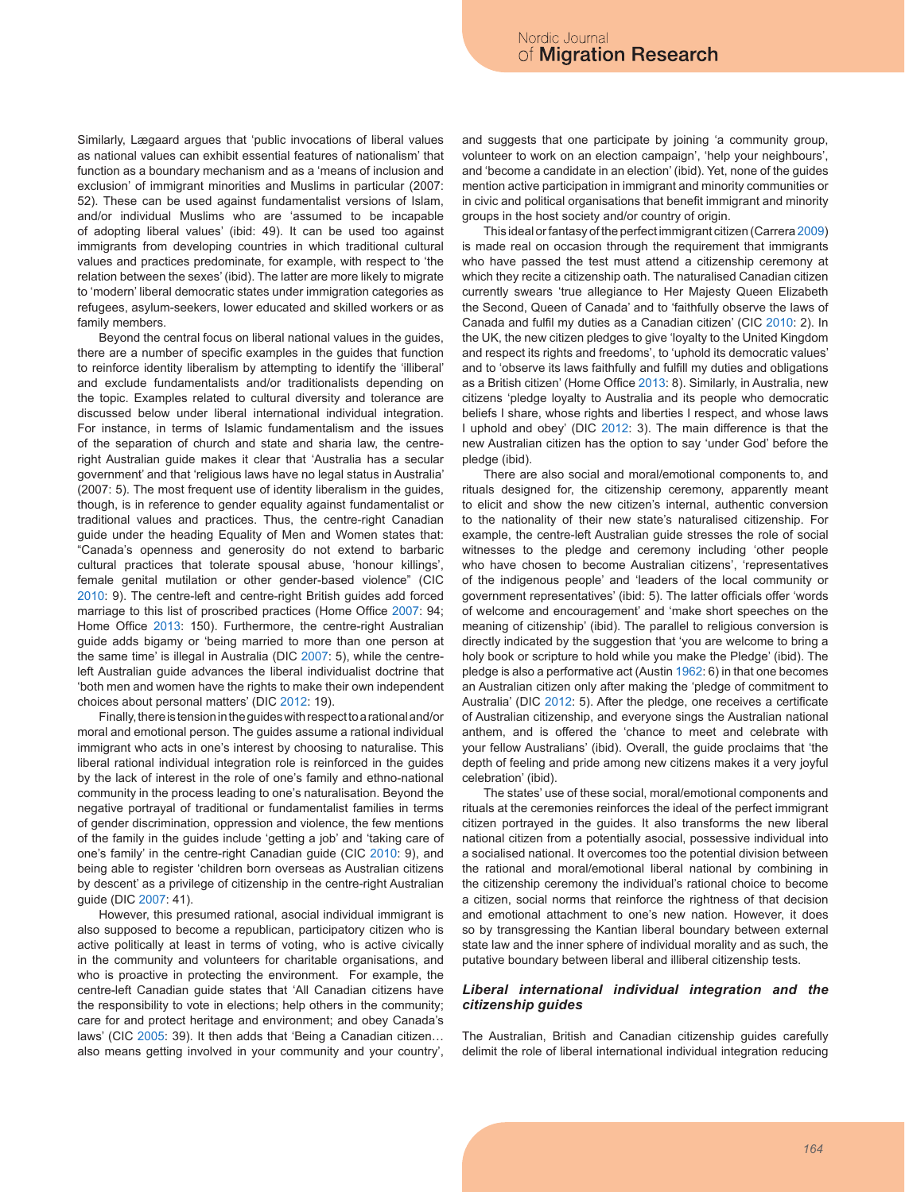Similarly, Lægaard argues that 'public invocations of liberal values as national values can exhibit essential features of nationalism' that function as a boundary mechanism and as a 'means of inclusion and exclusion' of immigrant minorities and Muslims in particular (2007: 52). These can be used against fundamentalist versions of Islam, and/or individual Muslims who are 'assumed to be incapable of adopting liberal values' (ibid: 49). It can be used too against immigrants from developing countries in which traditional cultural values and practices predominate, for example, with respect to 'the relation between the sexes' (ibid). The latter are more likely to migrate to 'modern' liberal democratic states under immigration categories as refugees, asylum-seekers, lower educated and skilled workers or as family members.

Beyond the central focus on liberal national values in the guides, there are a number of specific examples in the guides that function to reinforce identity liberalism by attempting to identify the 'illiberal' and exclude fundamentalists and/or traditionalists depending on the topic. Examples related to cultural diversity and tolerance are discussed below under liberal international individual integration. For instance, in terms of Islamic fundamentalism and the issues of the separation of church and state and sharia law, the centreright Australian guide makes it clear that 'Australia has a secular government' and that 'religious laws have no legal status in Australia' (2007: 5). The most frequent use of identity liberalism in the guides, though, is in reference to gender equality against fundamentalist or traditional values and practices. Thus, the centre-right Canadian guide under the heading Equality of Men and Women states that: "Canada's openness and generosity do not extend to barbaric cultural practices that tolerate spousal abuse, 'honour killings', female genital mutilation or other gender-based violence" (CIC 2010: 9). The centre-left and centre-right British guides add forced marriage to this list of proscribed practices (Home Office 2007: 94; Home Office 2013: 150). Furthermore, the centre-right Australian guide adds bigamy or 'being married to more than one person at the same time' is illegal in Australia (DIC 2007: 5), while the centreleft Australian guide advances the liberal individualist doctrine that 'both men and women have the rights to make their own independent choices about personal matters' (DIC 2012: 19).

Finally, there is tension in the guides with respect to a rational and/or moral and emotional person. The guides assume a rational individual immigrant who acts in one's interest by choosing to naturalise. This liberal rational individual integration role is reinforced in the guides by the lack of interest in the role of one's family and ethno-national community in the process leading to one's naturalisation. Beyond the negative portrayal of traditional or fundamentalist families in terms of gender discrimination, oppression and violence, the few mentions of the family in the guides include 'getting a job' and 'taking care of one's family' in the centre-right Canadian guide (CIC 2010: 9), and being able to register 'children born overseas as Australian citizens by descent' as a privilege of citizenship in the centre-right Australian guide (DIC 2007: 41).

However, this presumed rational, asocial individual immigrant is also supposed to become a republican, participatory citizen who is active politically at least in terms of voting, who is active civically in the community and volunteers for charitable organisations, and who is proactive in protecting the environment. For example, the centre-left Canadian guide states that 'All Canadian citizens have the responsibility to vote in elections; help others in the community; care for and protect heritage and environment; and obey Canada's laws' (CIC 2005: 39). It then adds that 'Being a Canadian citizen… also means getting involved in your community and your country', and suggests that one participate by joining 'a community group, volunteer to work on an election campaign', 'help your neighbours', and 'become a candidate in an election' (ibid). Yet, none of the guides mention active participation in immigrant and minority communities or in civic and political organisations that benefit immigrant and minority groups in the host society and/or country of origin.

This ideal or fantasy of the perfect immigrant citizen (Carrera 2009) is made real on occasion through the requirement that immigrants who have passed the test must attend a citizenship ceremony at which they recite a citizenship oath. The naturalised Canadian citizen currently swears 'true allegiance to Her Majesty Queen Elizabeth the Second, Queen of Canada' and to 'faithfully observe the laws of Canada and fulfil my duties as a Canadian citizen' (CIC 2010: 2). In the UK, the new citizen pledges to give 'loyalty to the United Kingdom and respect its rights and freedoms', to 'uphold its democratic values' and to 'observe its laws faithfully and fulfill my duties and obligations as a British citizen' (Home Office 2013: 8). Similarly, in Australia, new citizens 'pledge loyalty to Australia and its people who democratic beliefs I share, whose rights and liberties I respect, and whose laws I uphold and obey' (DIC 2012: 3). The main difference is that the new Australian citizen has the option to say 'under God' before the pledge (ibid).

There are also social and moral/emotional components to, and rituals designed for, the citizenship ceremony, apparently meant to elicit and show the new citizen's internal, authentic conversion to the nationality of their new state's naturalised citizenship. For example, the centre-left Australian guide stresses the role of social witnesses to the pledge and ceremony including 'other people who have chosen to become Australian citizens', 'representatives of the indigenous people' and 'leaders of the local community or government representatives' (ibid: 5). The latter officials offer 'words of welcome and encouragement' and 'make short speeches on the meaning of citizenship' (ibid). The parallel to religious conversion is directly indicated by the suggestion that 'you are welcome to bring a holy book or scripture to hold while you make the Pledge' (ibid). The pledge is also a performative act (Austin 1962: 6) in that one becomes an Australian citizen only after making the 'pledge of commitment to Australia' (DIC 2012: 5). After the pledge, one receives a certificate of Australian citizenship, and everyone sings the Australian national anthem, and is offered the 'chance to meet and celebrate with your fellow Australians' (ibid). Overall, the guide proclaims that 'the depth of feeling and pride among new citizens makes it a very joyful celebration' (ibid).

The states' use of these social, moral/emotional components and rituals at the ceremonies reinforces the ideal of the perfect immigrant citizen portrayed in the guides. It also transforms the new liberal national citizen from a potentially asocial, possessive individual into a socialised national. It overcomes too the potential division between the rational and moral/emotional liberal national by combining in the citizenship ceremony the individual's rational choice to become a citizen, social norms that reinforce the rightness of that decision and emotional attachment to one's new nation. However, it does so by transgressing the Kantian liberal boundary between external state law and the inner sphere of individual morality and as such, the putative boundary between liberal and illiberal citizenship tests.

#### *Liberal international individual integration and the citizenship guides*

The Australian, British and Canadian citizenship guides carefully delimit the role of liberal international individual integration reducing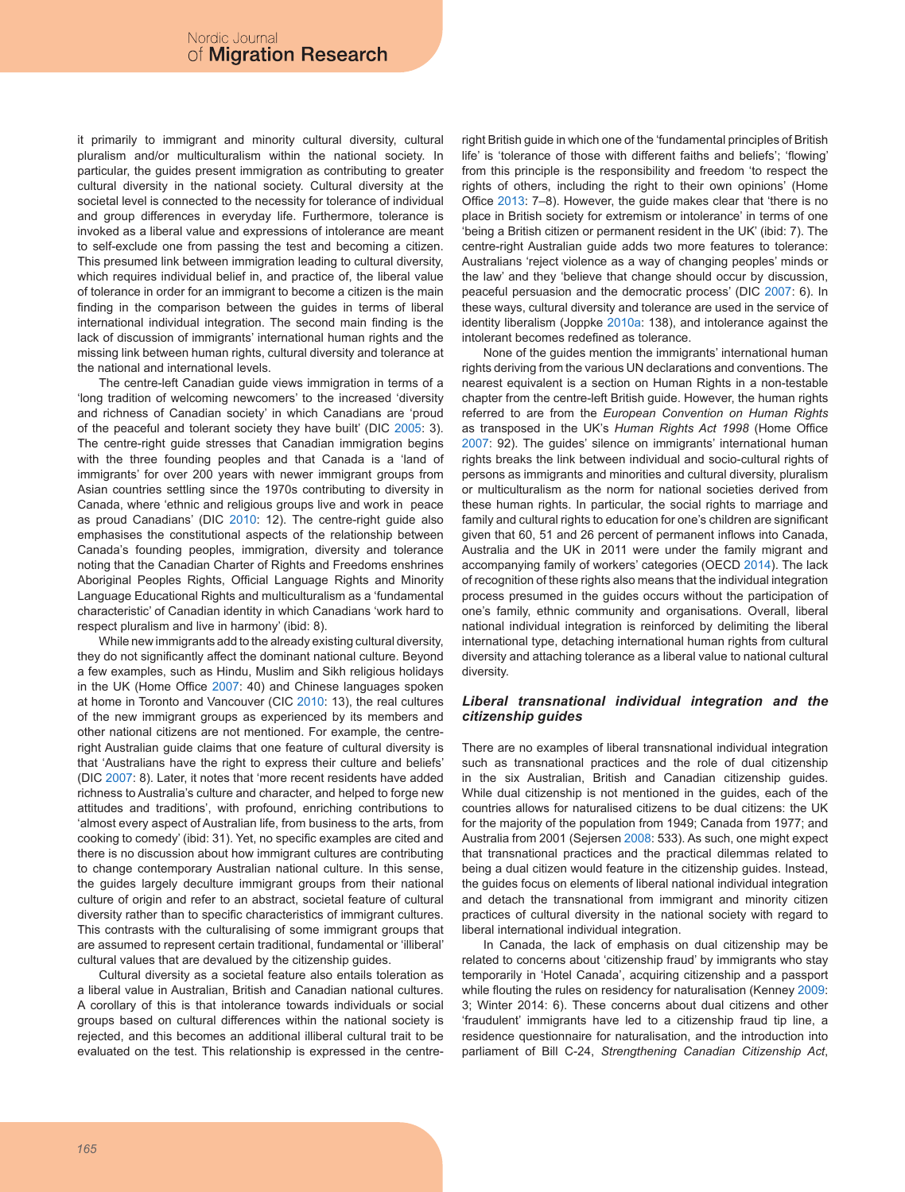it primarily to immigrant and minority cultural diversity, cultural pluralism and/or multiculturalism within the national society. In particular, the guides present immigration as contributing to greater cultural diversity in the national society. Cultural diversity at the societal level is connected to the necessity for tolerance of individual and group differences in everyday life. Furthermore, tolerance is invoked as a liberal value and expressions of intolerance are meant to self-exclude one from passing the test and becoming a citizen. This presumed link between immigration leading to cultural diversity, which requires individual belief in, and practice of, the liberal value of tolerance in order for an immigrant to become a citizen is the main finding in the comparison between the guides in terms of liberal international individual integration. The second main finding is the lack of discussion of immigrants' international human rights and the missing link between human rights, cultural diversity and tolerance at the national and international levels.

The centre-left Canadian guide views immigration in terms of a 'long tradition of welcoming newcomers' to the increased 'diversity and richness of Canadian society' in which Canadians are 'proud of the peaceful and tolerant society they have built' (DIC 2005: 3). The centre-right guide stresses that Canadian immigration begins with the three founding peoples and that Canada is a 'land of immigrants' for over 200 years with newer immigrant groups from Asian countries settling since the 1970s contributing to diversity in Canada, where 'ethnic and religious groups live and work in peace as proud Canadians' (DIC 2010: 12). The centre-right guide also emphasises the constitutional aspects of the relationship between Canada's founding peoples, immigration, diversity and tolerance noting that the Canadian Charter of Rights and Freedoms enshrines Aboriginal Peoples Rights, Official Language Rights and Minority Language Educational Rights and multiculturalism as a 'fundamental characteristic' of Canadian identity in which Canadians 'work hard to respect pluralism and live in harmony' (ibid: 8).

While new immigrants add to the already existing cultural diversity, they do not significantly affect the dominant national culture. Beyond a few examples, such as Hindu, Muslim and Sikh religious holidays in the UK (Home Office 2007: 40) and Chinese languages spoken at home in Toronto and Vancouver (CIC 2010: 13), the real cultures of the new immigrant groups as experienced by its members and other national citizens are not mentioned. For example, the centreright Australian guide claims that one feature of cultural diversity is that 'Australians have the right to express their culture and beliefs' (DIC 2007: 8). Later, it notes that 'more recent residents have added richness to Australia's culture and character, and helped to forge new attitudes and traditions', with profound, enriching contributions to 'almost every aspect of Australian life, from business to the arts, from cooking to comedy' (ibid: 31). Yet, no specific examples are cited and there is no discussion about how immigrant cultures are contributing to change contemporary Australian national culture. In this sense, the guides largely deculture immigrant groups from their national culture of origin and refer to an abstract, societal feature of cultural diversity rather than to specific characteristics of immigrant cultures. This contrasts with the culturalising of some immigrant groups that are assumed to represent certain traditional, fundamental or 'illiberal' cultural values that are devalued by the citizenship guides.

Cultural diversity as a societal feature also entails toleration as a liberal value in Australian, British and Canadian national cultures. A corollary of this is that intolerance towards individuals or social groups based on cultural differences within the national society is rejected, and this becomes an additional illiberal cultural trait to be evaluated on the test. This relationship is expressed in the centreright British guide in which one of the 'fundamental principles of British life' is 'tolerance of those with different faiths and beliefs'; 'flowing' from this principle is the responsibility and freedom 'to respect the rights of others, including the right to their own opinions' (Home Office 2013: 7–8). However, the guide makes clear that 'there is no place in British society for extremism or intolerance' in terms of one 'being a British citizen or permanent resident in the UK' (ibid: 7). The centre-right Australian guide adds two more features to tolerance: Australians 'reject violence as a way of changing peoples' minds or the law' and they 'believe that change should occur by discussion, peaceful persuasion and the democratic process' (DIC 2007: 6). In these ways, cultural diversity and tolerance are used in the service of identity liberalism (Joppke 2010a: 138), and intolerance against the intolerant becomes redefined as tolerance.

None of the guides mention the immigrants' international human rights deriving from the various UN declarations and conventions. The nearest equivalent is a section on Human Rights in a non-testable chapter from the centre-left British guide. However, the human rights referred to are from the *European Convention on Human Rights* as transposed in the UK's *Human Rights Act 1998* (Home Office 2007: 92). The guides' silence on immigrants' international human rights breaks the link between individual and socio-cultural rights of persons as immigrants and minorities and cultural diversity, pluralism or multiculturalism as the norm for national societies derived from these human rights. In particular, the social rights to marriage and family and cultural rights to education for one's children are significant given that 60, 51 and 26 percent of permanent inflows into Canada, Australia and the UK in 2011 were under the family migrant and accompanying family of workers' categories (OECD 2014). The lack of recognition of these rights also means that the individual integration process presumed in the guides occurs without the participation of one's family, ethnic community and organisations. Overall, liberal national individual integration is reinforced by delimiting the liberal international type, detaching international human rights from cultural diversity and attaching tolerance as a liberal value to national cultural diversity.

#### *Liberal transnational individual integration and the citizenship guides*

There are no examples of liberal transnational individual integration such as transnational practices and the role of dual citizenship in the six Australian, British and Canadian citizenship guides. While dual citizenship is not mentioned in the guides, each of the countries allows for naturalised citizens to be dual citizens: the UK for the majority of the population from 1949; Canada from 1977; and Australia from 2001 (Sejersen 2008: 533). As such, one might expect that transnational practices and the practical dilemmas related to being a dual citizen would feature in the citizenship guides. Instead, the guides focus on elements of liberal national individual integration and detach the transnational from immigrant and minority citizen practices of cultural diversity in the national society with regard to liberal international individual integration.

In Canada, the lack of emphasis on dual citizenship may be related to concerns about 'citizenship fraud' by immigrants who stay temporarily in 'Hotel Canada', acquiring citizenship and a passport while flouting the rules on residency for naturalisation (Kenney 2009: 3; Winter 2014: 6). These concerns about dual citizens and other 'fraudulent' immigrants have led to a citizenship fraud tip line, a residence questionnaire for naturalisation, and the introduction into parliament of Bill C-24, *Strengthening Canadian Citizenship Act*,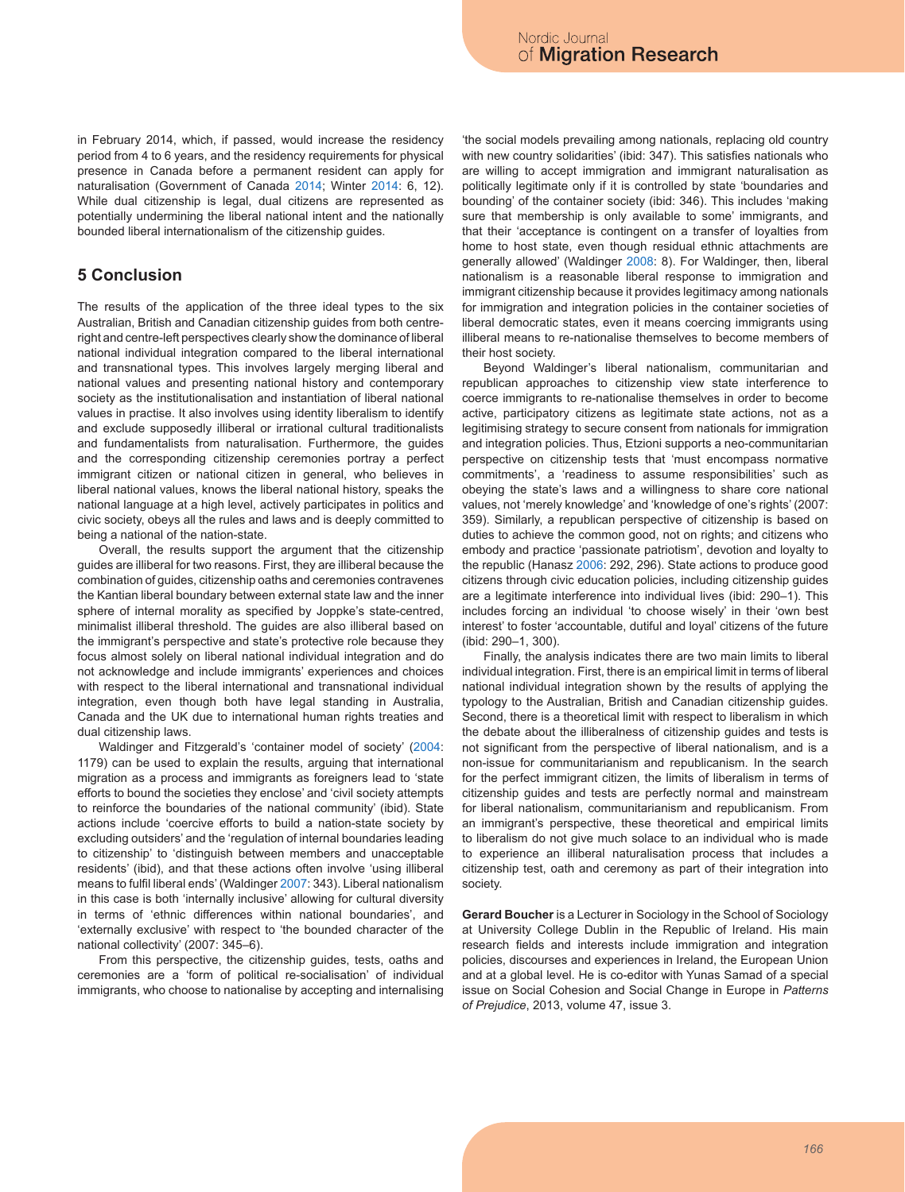in February 2014, which, if passed, would increase the residency period from 4 to 6 years, and the residency requirements for physical presence in Canada before a permanent resident can apply for naturalisation (Government of Canada 2014; Winter 2014: 6, 12). While dual citizenship is legal, dual citizens are represented as potentially undermining the liberal national intent and the nationally bounded liberal internationalism of the citizenship guides.

## **5 Conclusion**

The results of the application of the three ideal types to the six Australian, British and Canadian citizenship guides from both centreright and centre-left perspectives clearly show the dominance of liberal national individual integration compared to the liberal international and transnational types. This involves largely merging liberal and national values and presenting national history and contemporary society as the institutionalisation and instantiation of liberal national values in practise. It also involves using identity liberalism to identify and exclude supposedly illiberal or irrational cultural traditionalists and fundamentalists from naturalisation. Furthermore, the guides and the corresponding citizenship ceremonies portray a perfect immigrant citizen or national citizen in general, who believes in liberal national values, knows the liberal national history, speaks the national language at a high level, actively participates in politics and civic society, obeys all the rules and laws and is deeply committed to being a national of the nation-state.

Overall, the results support the argument that the citizenship guides are illiberal for two reasons. First, they are illiberal because the combination of guides, citizenship oaths and ceremonies contravenes the Kantian liberal boundary between external state law and the inner sphere of internal morality as specified by Joppke's state-centred, minimalist illiberal threshold. The guides are also illiberal based on the immigrant's perspective and state's protective role because they focus almost solely on liberal national individual integration and do not acknowledge and include immigrants' experiences and choices with respect to the liberal international and transnational individual integration, even though both have legal standing in Australia, Canada and the UK due to international human rights treaties and dual citizenship laws.

Waldinger and Fitzgerald's 'container model of society' (2004: 1179) can be used to explain the results, arguing that international migration as a process and immigrants as foreigners lead to 'state efforts to bound the societies they enclose' and 'civil society attempts to reinforce the boundaries of the national community' (ibid). State actions include 'coercive efforts to build a nation-state society by excluding outsiders' and the 'regulation of internal boundaries leading to citizenship' to 'distinguish between members and unacceptable residents' (ibid), and that these actions often involve 'using illiberal means to fulfil liberal ends' (Waldinger 2007: 343). Liberal nationalism in this case is both 'internally inclusive' allowing for cultural diversity in terms of 'ethnic differences within national boundaries', and 'externally exclusive' with respect to 'the bounded character of the national collectivity' (2007: 345–6).

From this perspective, the citizenship guides, tests, oaths and ceremonies are a 'form of political re-socialisation' of individual immigrants, who choose to nationalise by accepting and internalising 'the social models prevailing among nationals, replacing old country with new country solidarities' (ibid: 347). This satisfies nationals who are willing to accept immigration and immigrant naturalisation as politically legitimate only if it is controlled by state 'boundaries and bounding' of the container society (ibid: 346). This includes 'making sure that membership is only available to some' immigrants, and that their 'acceptance is contingent on a transfer of loyalties from home to host state, even though residual ethnic attachments are generally allowed' (Waldinger 2008: 8). For Waldinger, then, liberal nationalism is a reasonable liberal response to immigration and immigrant citizenship because it provides legitimacy among nationals for immigration and integration policies in the container societies of liberal democratic states, even it means coercing immigrants using illiberal means to re-nationalise themselves to become members of their host society.

Beyond Waldinger's liberal nationalism, communitarian and republican approaches to citizenship view state interference to coerce immigrants to re-nationalise themselves in order to become active, participatory citizens as legitimate state actions, not as a legitimising strategy to secure consent from nationals for immigration and integration policies. Thus, Etzioni supports a neo-communitarian perspective on citizenship tests that 'must encompass normative commitments', a 'readiness to assume responsibilities' such as obeying the state's laws and a willingness to share core national values, not 'merely knowledge' and 'knowledge of one's rights' (2007: 359). Similarly, a republican perspective of citizenship is based on duties to achieve the common good, not on rights; and citizens who embody and practice 'passionate patriotism', devotion and loyalty to the republic (Hanasz 2006: 292, 296). State actions to produce good citizens through civic education policies, including citizenship guides are a legitimate interference into individual lives (ibid: 290–1). This includes forcing an individual 'to choose wisely' in their 'own best interest' to foster 'accountable, dutiful and loyal' citizens of the future (ibid: 290–1, 300).

Finally, the analysis indicates there are two main limits to liberal individual integration. First, there is an empirical limit in terms of liberal national individual integration shown by the results of applying the typology to the Australian, British and Canadian citizenship guides. Second, there is a theoretical limit with respect to liberalism in which the debate about the illiberalness of citizenship guides and tests is not significant from the perspective of liberal nationalism, and is a non-issue for communitarianism and republicanism. In the search for the perfect immigrant citizen, the limits of liberalism in terms of citizenship guides and tests are perfectly normal and mainstream for liberal nationalism, communitarianism and republicanism. From an immigrant's perspective, these theoretical and empirical limits to liberalism do not give much solace to an individual who is made to experience an illiberal naturalisation process that includes a citizenship test, oath and ceremony as part of their integration into society.

**Gerard Boucher** is a Lecturer in Sociology in the School of Sociology at University College Dublin in the Republic of Ireland. His main research fields and interests include immigration and integration policies, discourses and experiences in Ireland, the European Union and at a global level. He is co-editor with Yunas Samad of a special issue on Social Cohesion and Social Change in Europe in *Patterns of Prejudice*, 2013, volume 47, issue 3.